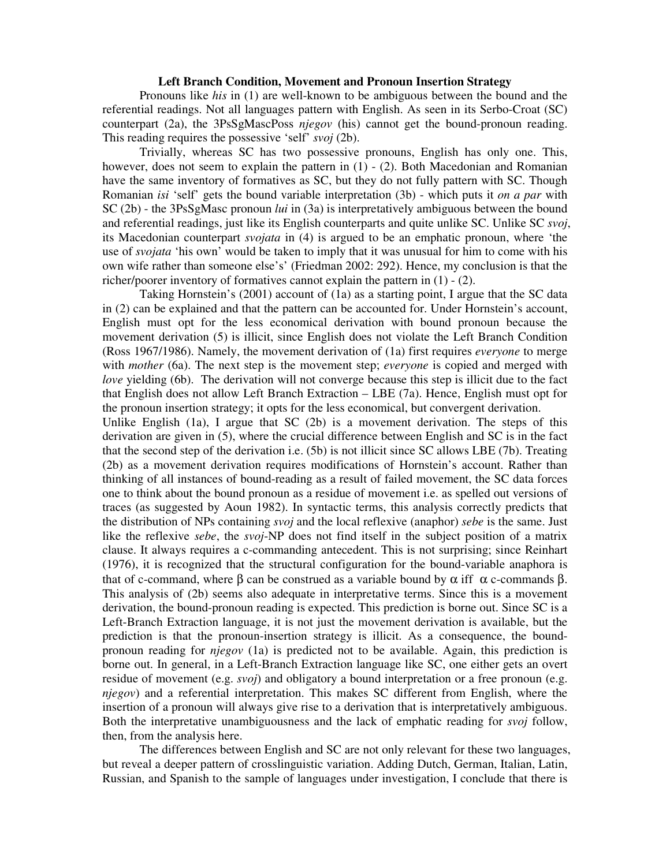## **Left Branch Condition, Movement and Pronoun Insertion Strategy**

Pronouns like *his* in (1) are well-known to be ambiguous between the bound and the referential readings. Not all languages pattern with English. As seen in its Serbo-Croat (SC) counterpart (2a), the 3PsSgMascPoss *njegov* (his) cannot get the bound-pronoun reading. This reading requires the possessive 'self' *svoj* (2b).

Trivially, whereas SC has two possessive pronouns, English has only one. This, however, does not seem to explain the pattern in (1) - (2). Both Macedonian and Romanian have the same inventory of formatives as SC, but they do not fully pattern with SC. Though Romanian *isi* 'self' gets the bound variable interpretation (3b) - which puts it *on a par* with SC (2b) - the 3PsSgMasc pronoun *lui* in (3a) is interpretatively ambiguous between the bound and referential readings, just like its English counterparts and quite unlike SC. Unlike SC *svoj*, its Macedonian counterpart *svojata* in (4) is argued to be an emphatic pronoun, where 'the use of *svojata* 'his own' would be taken to imply that it was unusual for him to come with his own wife rather than someone else's' (Friedman 2002: 292). Hence, my conclusion is that the richer/poorer inventory of formatives cannot explain the pattern in (1) - (2).

Taking Hornstein's (2001) account of (1a) as a starting point, I argue that the SC data in (2) can be explained and that the pattern can be accounted for. Under Hornstein's account, English must opt for the less economical derivation with bound pronoun because the movement derivation (5) is illicit, since English does not violate the Left Branch Condition (Ross 1967/1986). Namely, the movement derivation of (1a) first requires *everyone* to merge with *mother* (6a). The next step is the movement step; *everyone* is copied and merged with *love* yielding (6b). The derivation will not converge because this step is illicit due to the fact that English does not allow Left Branch Extraction – LBE (7a). Hence, English must opt for the pronoun insertion strategy; it opts for the less economical, but convergent derivation.

Unlike English (1a), I argue that SC (2b) is a movement derivation. The steps of this derivation are given in (5), where the crucial difference between English and SC is in the fact that the second step of the derivation i.e. (5b) is not illicit since SC allows LBE (7b). Treating (2b) as a movement derivation requires modifications of Hornstein's account. Rather than thinking of all instances of bound-reading as a result of failed movement, the SC data forces one to think about the bound pronoun as a residue of movement i.e. as spelled out versions of traces (as suggested by Aoun 1982). In syntactic terms, this analysis correctly predicts that the distribution of NPs containing *svoj* and the local reflexive (anaphor) *sebe* is the same. Just like the reflexive *sebe*, the *svoj*-NP does not find itself in the subject position of a matrix clause. It always requires a c-commanding antecedent. This is not surprising; since Reinhart (1976), it is recognized that the structural configuration for the bound-variable anaphora is that of c-command, where  $\beta$  can be construed as a variable bound by  $\alpha$  iff  $\alpha$  c-commands  $\beta$ . This analysis of (2b) seems also adequate in interpretative terms. Since this is a movement derivation, the bound-pronoun reading is expected. This prediction is borne out. Since SC is a Left-Branch Extraction language, it is not just the movement derivation is available, but the prediction is that the pronoun-insertion strategy is illicit. As a consequence, the boundpronoun reading for *njegov* (1a) is predicted not to be available. Again, this prediction is borne out. In general, in a Left-Branch Extraction language like SC, one either gets an overt residue of movement (e.g. *svoj*) and obligatory a bound interpretation or a free pronoun (e.g. *njegov*) and a referential interpretation. This makes SC different from English, where the insertion of a pronoun will always give rise to a derivation that is interpretatively ambiguous. Both the interpretative unambiguousness and the lack of emphatic reading for *svoj* follow, then, from the analysis here.

The differences between English and SC are not only relevant for these two languages, but reveal a deeper pattern of crosslinguistic variation. Adding Dutch, German, Italian, Latin, Russian, and Spanish to the sample of languages under investigation, I conclude that there is